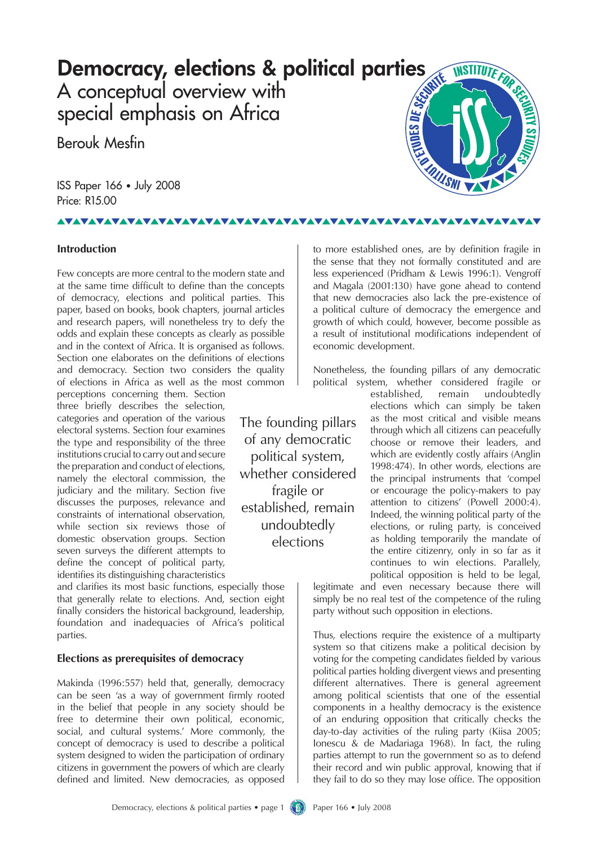## Democracy, elections & political parties

A conceptual overview with special emphasis on Africa

Berouk Mesfin

ISS Paper 166 • July 2008 Price: R15.00

## <u>VAVAVAVAVAVAVAVAVAVAVA</u>

### **Introduction**

Few concepts are more central to the modern state and at the same time difficult to define than the concepts of democracy, elections and political parties. This paper, based on books, book chapters, journal articles and research papers, will nonetheless try to defy the odds and explain these concepts as clearly as possible and in the context of Africa. It is organised as follows. Section one elaborates on the definitions of elections and democracy. Section two considers the quality of elections in Africa as well as the most common

perceptions concerning them. Section three briefly describes the selection, categories and operation of the various electoral systems. Section four examines the type and responsibility of the three institutions crucial to carry out and secure the preparation and conduct of elections, namely the electoral commission, the iudiciary and the military. Section five discusses the purposes, relevance and constraints of international observation, while section six reviews those of domestic observation groups. Section seven surveys the different attempts to define the concept of political party, identifies its distinguishing characteristics

and clarifies its most basic functions, especially those that generally relate to elections. And, section eight finally considers the historical background, leadership, foundation and inadequacies of Africa's political parties.

### **Elections as prerequisites of democracy**

Makinda (1996:557) held that, generally, democracy can be seen 'as a way of government firmly rooted in the belief that people in any society should be free to determine their own political, economic, social, and cultural systems.' More commonly, the concept of democracy is used to describe a political system designed to widen the participation of ordinary citizens in government the powers of which are clearly defined and limited. New democracies, as opposed

to more established ones, are by definition fragile in the sense that they not formally constituted and are less experienced (Pridham & Lewis 1996:1). Vengroff and Magala (2001:130) have gone ahead to contend that new democracies also lack the pre-existence of a political culture of democracy the emergence and growth of which could, however, become possible as a result of institutional modifications independent of economic development.

Nonetheless, the founding pillars of any democratic political system, whether considered fragile or

The founding pillars of any democratic political system, whether considered fragile or established, remain undoubtedly elections

established, remain undoubtedly elections which can simply be taken as the most critical and visible means through which all citizens can peacefully choose or remove their leaders, and which are evidently costly affairs (Anglin 1998:474). In other words, elections are the principal instruments that 'compel or encourage the policy-makers to pay attention to citizens' (Powell 2000:4). Indeed, the winning political party of the elections, or ruling party, is conceived as holding temporarily the mandate of the entire citizenry, only in so far as it continues to win elections. Parallely, political opposition is held to be legal,

legitimate and even necessary because there will simply be no real test of the competence of the ruling party without such opposition in elections.

Thus, elections require the existence of a multiparty system so that citizens make a political decision by voting for the competing candidates fielded by various political parties holding divergent views and presenting different alternatives. There is general agreement among political scientists that one of the essential components in a healthy democracy is the existence of an enduring opposition that critically checks the day-to-day activities of the ruling party (Kiisa 2005; Ionescu & de Madariaga 1968). In fact, the ruling parties attempt to run the government so as to defend their record and win public approval, knowing that if they fail to do so they may lose office. The opposition

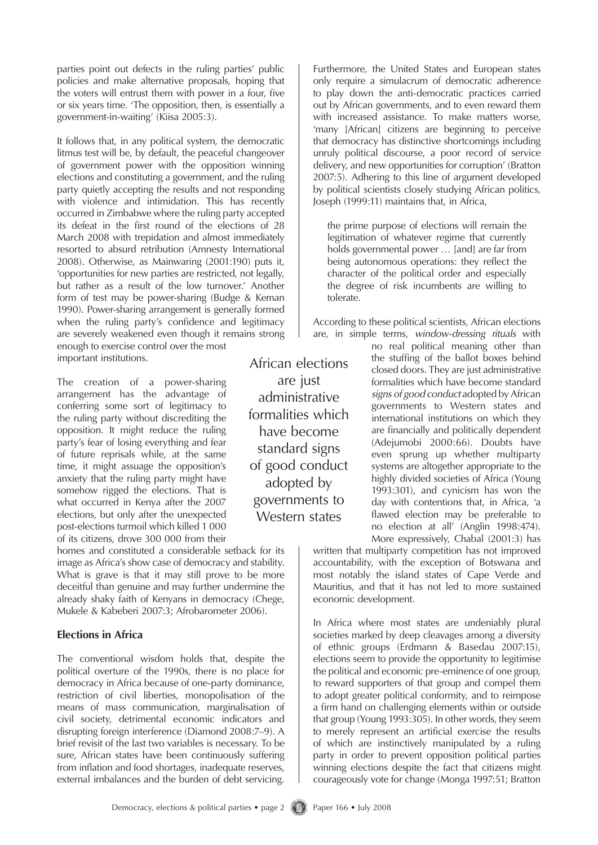parties point out defects in the ruling parties' public policies and make alternative proposals, hoping that the voters will entrust them with power in a four, five or six years time. 'The opposition, then, is essentially a government-in-waiting' (Kiisa 2005:3).

It follows that, in any political system, the democratic litmus test will be, by default, the peaceful changeover of government power with the opposition winning elections and constituting a government, and the ruling party quietly accepting the results and not responding with violence and intimidation. This has recently occurred in Zimbabwe where the ruling party accepted its defeat in the first round of the elections of 28 March 2008 with trepidation and almost immediately resorted to absurd retribution (Amnesty International 2008). Otherwise, as Mainwaring (2001:190) puts it, 'opportunities for new parties are restricted, not legally, but rather as a result of the low turnover.' Another form of test may be power-sharing (Budge & Keman 1990). Power-sharing arrangement is generally formed when the ruling party's confidence and legitimacy are severely weakened even though it remains strong enough to exercise control over the most important institutions. African elections

The creation of a power-sharing arrangement has the advantage of conferring some sort of legitimacy to the ruling party without discrediting the opposition. It might reduce the ruling party's fear of losing everything and fear of future reprisals while, at the same time, it might assuage the opposition's anxiety that the ruling party might have somehow rigged the elections. That is what occurred in Kenya after the 2007 elections, but only after the unexpected post-elections turmoil which killed 1 000 of its citizens, drove 300 000 from their

homes and constituted a considerable setback for its image as Africa's show case of democracy and stability. What is grave is that it may still prove to be more deceitful than genuine and may further undermine the already shaky faith of Kenyans in democracy (Chege, Mukele & Kabeberi 2007:3; Afrobarometer 2006).

#### **Elections in Africa**

The conventional wisdom holds that, despite the political overture of the 1990s, there is no place for democracy in Africa because of one-party dominance, restriction of civil liberties, monopolisation of the means of mass communication, marginalisation of civil society, detrimental economic indicators and disrupting foreign interference (Diamond 2008:7–9). A brief revisit of the last two variables is necessary. To be sure, African states have been continuously suffering from inflation and food shortages, inadequate reserves, external imbalances and the burden of debt servicing.

Furthermore, the United States and European states only require a simulacrum of democratic adherence to play down the anti-democratic practices carried out by African governments, and to even reward them with increased assistance. To make matters worse, 'many [African] citizens are beginning to perceive that democracy has distinctive shortcomings including unruly political discourse, a poor record of service delivery, and new opportunities for corruption' (Bratton 2007:5). Adhering to this line of argument developed by political scientists closely studying African politics, Joseph (1999:11) maintains that, in Africa,

the prime purpose of elections will remain the legitimation of whatever regime that currently holds governmental power … [and] are far from being autonomous operations: they reflect the character of the political order and especially the degree of risk incumbents are willing to tolerate.

According to these political scientists, African elections are, in simple terms, *window-dressing rituals* with

> no real political meaning other than the stuffing of the ballot boxes behind closed doors. They are just administrative formalities which have become standard *signs of good conduct* adopted by African governments to Western states and international institutions on which they are financially and politically dependent (Adejumobi 2000:66). Doubts have even sprung up whether multiparty systems are altogether appropriate to the highly divided societies of Africa (Young 1993:301), and cynicism has won the day with contentions that, in Africa, 'a flawed election may be preferable to no election at all' (Anglin 1998:474). More expressively, Chabal (2001:3) has

written that multiparty competition has not improved accountability, with the exception of Botswana and most notably the island states of Cape Verde and Mauritius, and that it has not led to more sustained economic development.

In Africa where most states are undeniably plural societies marked by deep cleavages among a diversity of ethnic groups (Erdmann & Basedau 2007:15), elections seem to provide the opportunity to legitimise the political and economic pre-eminence of one group, to reward supporters of that group and compel them to adopt greater political conformity, and to reimpose a firm hand on challenging elements within or outside that group (Young 1993:305). In other words, they seem to merely represent an artificial exercise the results of which are instinctively manipulated by a ruling party in order to prevent opposition political parties winning elections despite the fact that citizens might courageously vote for change (Monga 1997:51; Bratton

are just administrative formalities which have become standard signs of good conduct adopted by governments to Western states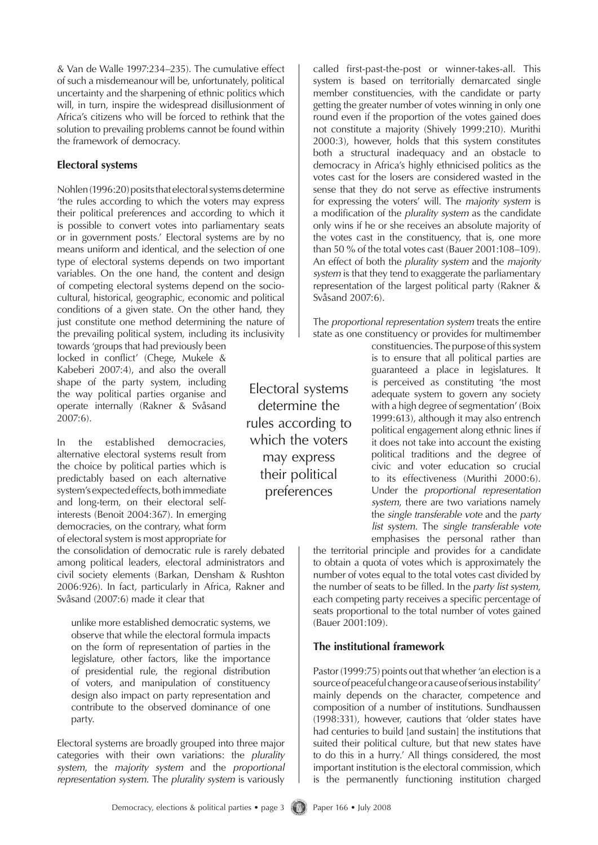& Van de Walle 1997:234–235). The cumulative effect of such a misdemeanour will be, unfortunately, political uncertainty and the sharpening of ethnic politics which will, in turn, inspire the widespread disillusionment of Africa's citizens who will be forced to rethink that the solution to prevailing problems cannot be found within the framework of democracy.

### **Electoral systems**

Nohlen (1996:20) posits that electoral systems determine 'the rules according to which the voters may express their political preferences and according to which it is possible to convert votes into parliamentary seats or in government posts.' Electoral systems are by no means uniform and identical, and the selection of one type of electoral systems depends on two important variables. On the one hand, the content and design of competing electoral systems depend on the sociocultural, historical, geographic, economic and political conditions of a given state. On the other hand, they just constitute one method determining the nature of the prevailing political system, including its inclusivity

towards 'groups that had previously been locked in conflict' (Chege, Mukele & Kabeberi 2007:4), and also the overall shape of the party system, including the way political parties organise and operate internally (Rakner & Svåsand 2007:6).

In the established democracies, alternative electoral systems result from the choice by political parties which is predictably based on each alternative system's expected effects, both immediate and long-term, on their electoral selfinterests (Benoit 2004:367). In emerging democracies, on the contrary, what form of electoral system is most appropriate for

the consolidation of democratic rule is rarely debated among political leaders, electoral administrators and civil society elements (Barkan, Densham & Rushton 2006:926). In fact, particularly in Africa, Rakner and Svåsand (2007:6) made it clear that

unlike more established democratic systems, we observe that while the electoral formula impacts on the form of representation of parties in the legislature, other factors, like the importance of presidential rule, the regional distribution of voters, and manipulation of constituency design also impact on party representation and contribute to the observed dominance of one party.

Electoral systems are broadly grouped into three major categories with their own variations: the *plurality system*, the *majority system* and the *proportional representation system*. The *plurality system* is variously called first-past-the-post or winner-takes-all. This system is based on territorially demarcated single member constituencies, with the candidate or party getting the greater number of votes winning in only one round even if the proportion of the votes gained does not constitute a majority (Shively 1999:210). Murithi 2000:3), however, holds that this system constitutes both a structural inadequacy and an obstacle to democracy in Africa's highly ethnicised politics as the votes cast for the losers are considered wasted in the sense that they do not serve as effective instruments for expressing the voters' will. The *majority system* is a modification of the *plurality system* as the candidate only wins if he or she receives an absolute majority of the votes cast in the constituency, that is, one more than 50 % of the total votes cast (Bauer 2001:108–109). An effect of both the *plurality system* and the *majority system* is that they tend to exaggerate the parliamentary representation of the largest political party (Rakner & Svåsand 2007:6).

The *proportional representation system* treats the entire state as one constituency or provides for multimember

> constituencies. The purpose of this system is to ensure that all political parties are guaranteed a place in legislatures. It is perceived as constituting 'the most adequate system to govern any society with a high degree of segmentation' (Boix 1999:613), although it may also entrench political engagement along ethnic lines if it does not take into account the existing political traditions and the degree of civic and voter education so crucial to its effectiveness (Murithi 2000:6). Under the *proportional representation system*, there are two variations namely the *single transferable vote* and the *party list system*. The *single transferable vote* emphasises the personal rather than

the territorial principle and provides for a candidate to obtain a quota of votes which is approximately the number of votes equal to the total votes cast divided by the number of seats to be filled. In the *party list system*, each competing party receives a specific percentage of seats proportional to the total number of votes gained (Bauer 2001:109).

### **The institutional framework**

Pastor (1999:75) points out that whether 'an election is a source of peaceful change or a cause of serious instability' mainly depends on the character, competence and composition of a number of institutions. Sundhaussen (1998:331), however, cautions that 'older states have had centuries to build [and sustain] the institutions that suited their political culture, but that new states have to do this in a hurry.' All things considered, the most important institution is the electoral commission, which is the permanently functioning institution charged

determine the rules according to which the voters may express their political preferences

Electoral systems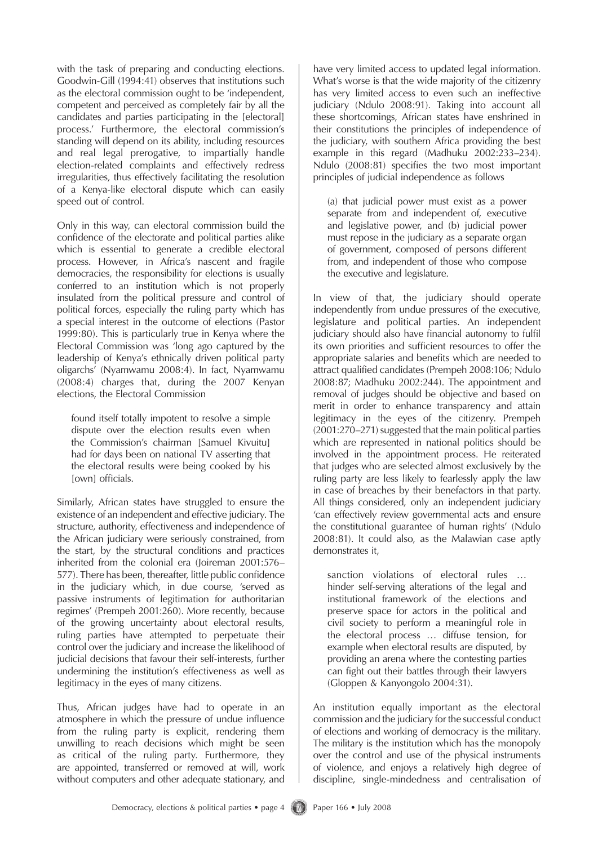with the task of preparing and conducting elections. Goodwin-Gill (1994:41) observes that institutions such as the electoral commission ought to be 'independent, competent and perceived as completely fair by all the candidates and parties participating in the [electoral] process.' Furthermore, the electoral commission's standing will depend on its ability, including resources and real legal prerogative, to impartially handle election-related complaints and effectively redress irregularities, thus effectively facilitating the resolution of a Kenya-like electoral dispute which can easily speed out of control.

Only in this way, can electoral commission build the confidence of the electorate and political parties alike which is essential to generate a credible electoral process. However, in Africa's nascent and fragile democracies, the responsibility for elections is usually conferred to an institution which is not properly insulated from the political pressure and control of political forces, especially the ruling party which has a special interest in the outcome of elections (Pastor 1999:80). This is particularly true in Kenya where the Electoral Commission was 'long ago captured by the leadership of Kenya's ethnically driven political party oligarchs' (Nyamwamu 2008:4). In fact, Nyamwamu (2008:4) charges that, during the 2007 Kenyan elections, the Electoral Commission

found itself totally impotent to resolve a simple dispute over the election results even when the Commission's chairman [Samuel Kivuitu] had for days been on national TV asserting that the electoral results were being cooked by his [own] officials.

Similarly, African states have struggled to ensure the existence of an independent and effective judiciary. The structure, authority, effectiveness and independence of the African judiciary were seriously constrained, from the start, by the structural conditions and practices inherited from the colonial era (Joireman 2001:576– 577). There has been, thereafter, little public confidence in the judiciary which, in due course, 'served as passive instruments of legitimation for authoritarian regimes' (Prempeh 2001:260). More recently, because of the growing uncertainty about electoral results, ruling parties have attempted to perpetuate their control over the judiciary and increase the likelihood of judicial decisions that favour their self-interests, further undermining the institution's effectiveness as well as legitimacy in the eyes of many citizens.

Thus, African judges have had to operate in an atmosphere in which the pressure of undue influence from the ruling party is explicit, rendering them unwilling to reach decisions which might be seen as critical of the ruling party. Furthermore, they are appointed, transferred or removed at will, work without computers and other adequate stationary, and have very limited access to updated legal information. What's worse is that the wide majority of the citizenry has very limited access to even such an ineffective judiciary (Ndulo 2008:91). Taking into account all these shortcomings, African states have enshrined in their constitutions the principles of independence of the judiciary, with southern Africa providing the best example in this regard (Madhuku 2002:233–234). Ndulo (2008:81) specifies the two most important principles of judicial independence as follows

(a) that judicial power must exist as a power separate from and independent of, executive and legislative power, and (b) judicial power must repose in the judiciary as a separate organ of government, composed of persons different from, and independent of those who compose the executive and legislature.

In view of that, the judiciary should operate independently from undue pressures of the executive, legislature and political parties. An independent judiciary should also have financial autonomy to fulfil its own priorities and sufficient resources to offer the appropriate salaries and benefits which are needed to attract qualified candidates (Prempeh 2008:106; Ndulo 2008:87; Madhuku 2002:244). The appointment and removal of judges should be objective and based on merit in order to enhance transparency and attain legitimacy in the eyes of the citizenry. Prempeh (2001:270–271) suggested that the main political parties which are represented in national politics should be involved in the appointment process. He reiterated that judges who are selected almost exclusively by the ruling party are less likely to fearlessly apply the law in case of breaches by their benefactors in that party. All things considered, only an independent judiciary 'can effectively review governmental acts and ensure the constitutional guarantee of human rights' (Ndulo 2008:81). It could also, as the Malawian case aptly demonstrates it,

sanction violations of electoral rules … hinder self-serving alterations of the legal and institutional framework of the elections and preserve space for actors in the political and civil society to perform a meaningful role in the electoral process … diffuse tension, for example when electoral results are disputed, by providing an arena where the contesting parties can fight out their battles through their lawyers (Gloppen & Kanyongolo 2004:31).

An institution equally important as the electoral commission and the judiciary for the successful conduct of elections and working of democracy is the military. The military is the institution which has the monopoly over the control and use of the physical instruments of violence, and enjoys a relatively high degree of discipline, single-mindedness and centralisation of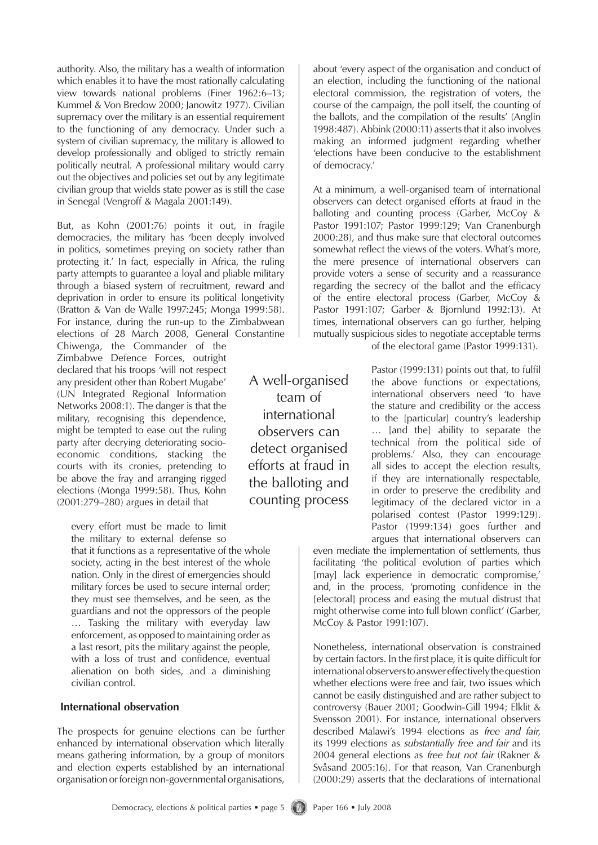authority. Also, the military has a wealth of information which enables it to have the most rationally calculating view towards national problems (Finer 1962:6–13; Kummel & Von Bredow 2000; Janowitz 1977). Civilian supremacy over the military is an essential requirement to the functioning of any democracy. Under such a system of civilian supremacy, the military is allowed to develop professionally and obliged to strictly remain politically neutral. A professional military would carry out the objectives and policies set out by any legitimate civilian group that wields state power as is still the case in Senegal (Vengroff & Magala 2001:149).

But, as Kohn (2001:76) points it out, in fragile democracies, the military has 'been deeply involved in politics, sometimes preying on society rather than protecting it.' In fact, especially in Africa, the ruling party attempts to guarantee a loyal and pliable military through a biased system of recruitment, reward and deprivation in order to ensure its political longetivity (Bratton & Van de Walle 1997:245; Monga 1999:58). For instance, during the run-up to the Zimbabwean

elections of 28 March 2008, General Constantine Chiwenga, the Commander of the Zimbabwe Defence Forces, outright declared that his troops 'will not respect any president other than Robert Mugabe' (UN Integrated Regional Information Networks 2008:1). The danger is that the military, recognising this dependence, might be tempted to ease out the ruling party after decrying deteriorating socioeconomic conditions, stacking the courts with its cronies, pretending to be above the fray and arranging rigged elections (Monga 1999:58). Thus, Kohn (2001:279–280) argues in detail that

every effort must be made to limit the military to external defense so

that it functions as a representative of the whole society, acting in the best interest of the whole nation. Only in the direst of emergencies should military forces be used to secure internal order; they must see themselves, and be seen, as the guardians and not the oppressors of the people … Tasking the military with everyday law enforcement, as opposed to maintaining order as a last resort, pits the military against the people, with a loss of trust and confidence, eventual alienation on both sides, and a diminishing civilian control.

#### **International observation**

The prospects for genuine elections can be further enhanced by international observation which literally means gathering information, by a group of monitors and election experts established by an international organisation or foreign non-governmental organisations, about 'every aspect of the organisation and conduct of an election, including the functioning of the national electoral commission, the registration of voters, the course of the campaign, the poll itself, the counting of the ballots, and the compilation of the results' (Anglin 1998:487). Abbink (2000:11) asserts that it also involves making an informed judgment regarding whether 'elections have been conducive to the establishment of democracy.'

At a minimum, a well-organised team of international observers can detect organised efforts at fraud in the balloting and counting process (Garber, McCoy & Pastor 1991:107; Pastor 1999:129; Van Cranenburgh 2000:28), and thus make sure that electoral outcomes somewhat reflect the views of the voters. What's more, the mere presence of international observers can provide voters a sense of security and a reassurance regarding the secrecy of the ballot and the efficacy of the entire electoral process (Garber, McCoy & Pastor 1991:107; Garber & Bjornlund 1992:13). At times, international observers can go further, helping mutually suspicious sides to negotiate acceptable terms

of the electoral game (Pastor 1999:131).

Pastor (1999:131) points out that, to fulfil the above functions or expectations, international observers need 'to have the stature and credibility or the access to the [particular] country's leadership … [and the] ability to separate the technical from the political side of problems.' Also, they can encourage all sides to accept the election results, if they are internationally respectable, in order to preserve the credibility and legitimacy of the declared victor in a polarised contest (Pastor 1999:129). Pastor (1999:134) goes further and argues that international observers can

even mediate the implementation of settlements, thus facilitating 'the political evolution of parties which [may] lack experience in democratic compromise,' and, in the process, 'promoting confidence in the [electoral] process and easing the mutual distrust that might otherwise come into full blown conflict' (Garber, McCoy & Pastor 1991:107).

Nonetheless, international observation is constrained by certain factors. In the first place, it is quite difficult for international observers to answer effectively the question whether elections were free and fair, two issues which cannot be easily distinguished and are rather subject to controversy (Bauer 2001; Goodwin-Gill 1994; Elklit & Svensson 2001). For instance, international observers described Malawi's 1994 elections as *free and fair*, its 1999 elections as *substantially free and fair* and its 2004 general elections as *free but not fair* (Rakner & Svåsand 2005:16). For that reason, Van Cranenburgh (2000:29) asserts that the declarations of international

team of international observers can detect organised efforts at fraud in the balloting and counting process

A well-organised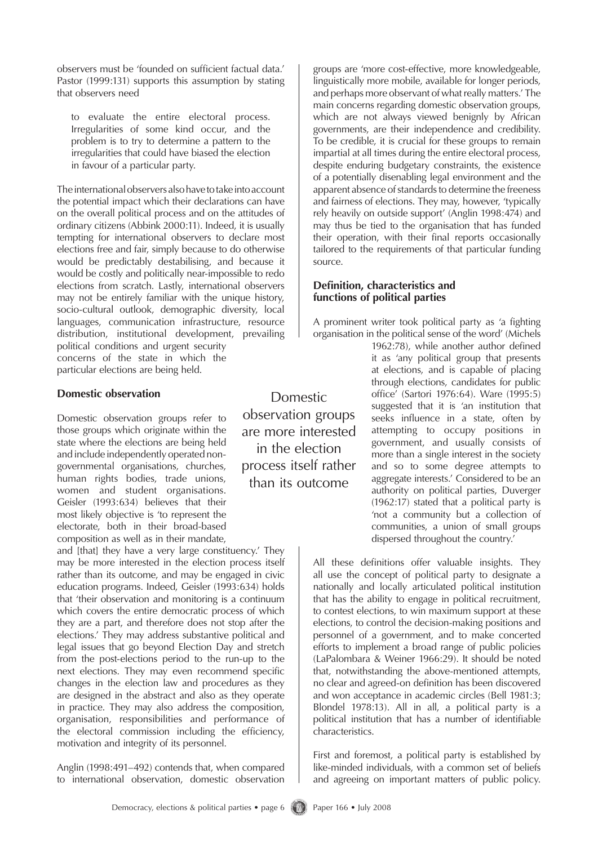observers must be 'founded on sufficient factual data.' Pastor (1999:131) supports this assumption by stating that observers need

to evaluate the entire electoral process. Irregularities of some kind occur, and the problem is to try to determine a pattern to the irregularities that could have biased the election in favour of a particular party.

The international observers also have to take into account the potential impact which their declarations can have on the overall political process and on the attitudes of ordinary citizens (Abbink 2000:11). Indeed, it is usually tempting for international observers to declare most elections free and fair, simply because to do otherwise would be predictably destabilising, and because it would be costly and politically near-impossible to redo elections from scratch. Lastly, international observers may not be entirely familiar with the unique history, socio-cultural outlook, demographic diversity, local languages, communication infrastructure, resource distribution, institutional development, prevailing political conditions and urgent security

concerns of the state in which the particular elections are being held.

#### **Domestic observation**

Domestic observation groups refer to those groups which originate within the state where the elections are being held and include independently operated nongovernmental organisations, churches, human rights bodies, trade unions, women and student organisations. Geisler (1993:634) believes that their most likely objective is 'to represent the electorate, both in their broad-based composition as well as in their mandate,

and [that] they have a very large constituency.' They may be more interested in the election process itself rather than its outcome, and may be engaged in civic education programs. Indeed, Geisler (1993:634) holds that 'their observation and monitoring is a continuum which covers the entire democratic process of which they are a part, and therefore does not stop after the elections.' They may address substantive political and legal issues that go beyond Election Day and stretch from the post-elections period to the run-up to the next elections. They may even recommend specific changes in the election law and procedures as they are designed in the abstract and also as they operate in practice. They may also address the composition, organisation, responsibilities and performance of the electoral commission including the efficiency, motivation and integrity of its personnel.

Anglin (1998:491–492) contends that, when compared to international observation, domestic observation

Domestic observation groups are more interested in the election process itself rather than its outcome

groups are 'more cost-effective, more knowledgeable, linguistically more mobile, available for longer periods, and perhaps more observant of what really matters.' The main concerns regarding domestic observation groups, which are not always viewed benignly by African governments, are their independence and credibility. To be credible, it is crucial for these groups to remain impartial at all times during the entire electoral process, despite enduring budgetary constraints, the existence of a potentially disenabling legal environment and the apparent absence of standards to determine the freeness and fairness of elections. They may, however, 'typically rely heavily on outside support' (Anglin 1998:474) and may thus be tied to the organisation that has funded their operation, with their final reports occasionally tailored to the requirements of that particular funding source.

## **Definition, characteristics and functions of political parties**

A prominent writer took political party as 'a fighting organisation in the political sense of the word' (Michels

1962:78), while another author defined it as 'any political group that presents at elections, and is capable of placing through elections, candidates for public office' (Sartori 1976:64). Ware (1995:5) suggested that it is 'an institution that seeks influence in a state, often by attempting to occupy positions in government, and usually consists of more than a single interest in the society and so to some degree attempts to aggregate interests.' Considered to be an authority on political parties, Duverger (1962:17) stated that a political party is 'not a community but a collection of communities, a union of small groups dispersed throughout the country.'

All these definitions offer valuable insights. They all use the concept of political party to designate a nationally and locally articulated political institution that has the ability to engage in political recruitment, to contest elections, to win maximum support at these elections, to control the decision-making positions and personnel of a government, and to make concerted efforts to implement a broad range of public policies (LaPalombara & Weiner 1966:29). It should be noted that, notwithstanding the above-mentioned attempts, no clear and agreed-on definition has been discovered and won acceptance in academic circles (Bell 1981:3; Blondel 1978:13). All in all, a political party is a political institution that has a number of identifiable characteristics.

First and foremost, a political party is established by like-minded individuals, with a common set of beliefs and agreeing on important matters of public policy.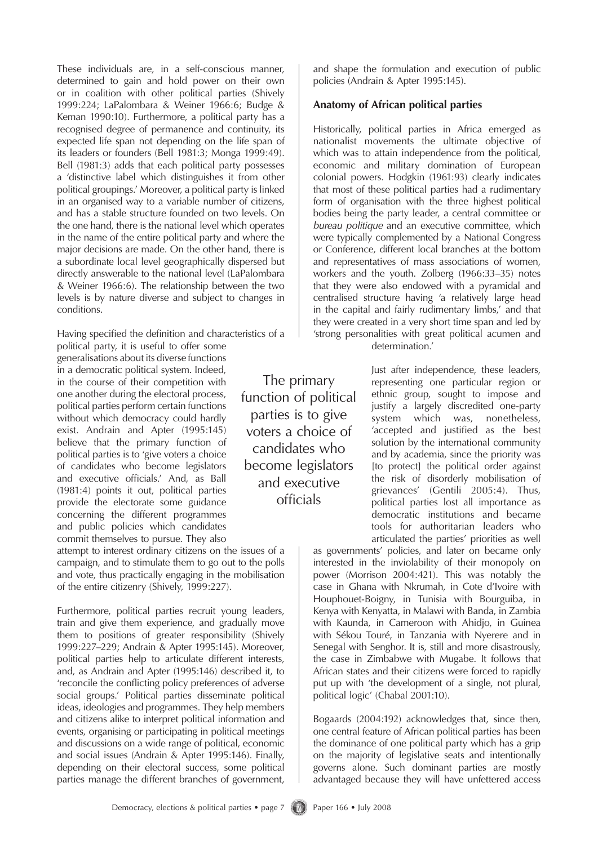These individuals are, in a self-conscious manner, determined to gain and hold power on their own or in coalition with other political parties (Shively 1999:224; LaPalombara & Weiner 1966:6; Budge & Keman 1990:10). Furthermore, a political party has a recognised degree of permanence and continuity, its expected life span not depending on the life span of its leaders or founders (Bell 1981:3; Monga 1999:49). Bell (1981:3) adds that each political party possesses a 'distinctive label which distinguishes it from other political groupings.' Moreover, a political party is linked in an organised way to a variable number of citizens, and has a stable structure founded on two levels. On the one hand, there is the national level which operates in the name of the entire political party and where the major decisions are made. On the other hand, there is a subordinate local level geographically dispersed but directly answerable to the national level (LaPalombara & Weiner 1966:6). The relationship between the two levels is by nature diverse and subject to changes in conditions.

Having specified the definition and characteristics of a

political party, it is useful to offer some generalisations about its diverse functions in a democratic political system. Indeed, in the course of their competition with one another during the electoral process, political parties perform certain functions without which democracy could hardly exist. Andrain and Apter (1995:145) believe that the primary function of political parties is to 'give voters a choice of candidates who become legislators and executive officials.' And, as Ball (1981:4) points it out, political parties provide the electorate some guidance concerning the different programmes and public policies which candidates commit themselves to pursue. They also

attempt to interest ordinary citizens on the issues of a campaign, and to stimulate them to go out to the polls and vote, thus practically engaging in the mobilisation of the entire citizenry (Shively, 1999:227).

Furthermore, political parties recruit young leaders, train and give them experience, and gradually move them to positions of greater responsibility (Shively 1999:227–229; Andrain & Apter 1995:145). Moreover, political parties help to articulate different interests, and, as Andrain and Apter (1995:146) described it, to 'reconcile the conflicting policy preferences of adverse social groups.' Political parties disseminate political ideas, ideologies and programmes. They help members and citizens alike to interpret political information and events, organising or participating in political meetings and discussions on a wide range of political, economic and social issues (Andrain & Apter 1995:146). Finally, depending on their electoral success, some political parties manage the different branches of government,

and shape the formulation and execution of public policies (Andrain & Apter 1995:145).

#### **Anatomy of African political parties**

Historically, political parties in Africa emerged as nationalist movements the ultimate objective of which was to attain independence from the political, economic and military domination of European colonial powers. Hodgkin (1961:93) clearly indicates that most of these political parties had a rudimentary form of organisation with the three highest political bodies being the party leader, a central committee or *bureau politique* and an executive committee, which were typically complemented by a National Congress or Conference, different local branches at the bottom and representatives of mass associations of women, workers and the youth. Zolberg (1966:33–35) notes that they were also endowed with a pyramidal and centralised structure having 'a relatively large head in the capital and fairly rudimentary limbs,' and that they were created in a very short time span and led by 'strong personalities with great political acumen and determination.'

> Just after independence, these leaders, representing one particular region or ethnic group, sought to impose and justify a largely discredited one-party system which was, nonetheless, 'accepted and justified as the best solution by the international community and by academia, since the priority was [to protect] the political order against the risk of disorderly mobilisation of grievances' (Gentili 2005:4). Thus, political parties lost all importance as democratic institutions and became tools for authoritarian leaders who articulated the parties' priorities as well

as governments' policies, and later on became only interested in the inviolability of their monopoly on power (Morrison 2004:421). This was notably the case in Ghana with Nkrumah, in Cote d'Ivoire with Houphouet-Boigny, in Tunisia with Bourguiba, in Kenya with Kenyatta, in Malawi with Banda, in Zambia with Kaunda, in Cameroon with Ahidjo, in Guinea with Sékou Touré, in Tanzania with Nyerere and in Senegal with Senghor. It is, still and more disastrously, the case in Zimbabwe with Mugabe. It follows that African states and their citizens were forced to rapidly put up with 'the development of a single, not plural, political logic' (Chabal 2001:10).

Bogaards (2004:192) acknowledges that, since then, one central feature of African political parties has been the dominance of one political party which has a grip on the majority of legislative seats and intentionally governs alone. Such dominant parties are mostly advantaged because they will have unfettered access

Democracy, elections & political parties • page 7 (1) Paper 166 • July 2008

The primary function of political parties is to give voters a choice of candidates who become legislators and executive officials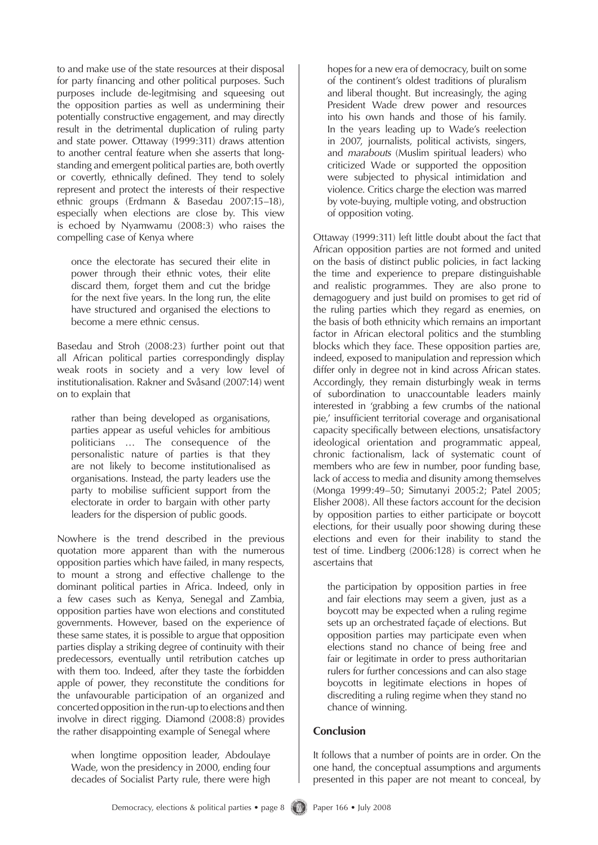to and make use of the state resources at their disposal for party financing and other political purposes. Such purposes include de-legitmising and squeesing out the opposition parties as well as undermining their potentially constructive engagement, and may directly result in the detrimental duplication of ruling party and state power. Ottaway (1999:311) draws attention to another central feature when she asserts that longstanding and emergent political parties are, both overtly or covertly, ethnically defined. They tend to solely represent and protect the interests of their respective ethnic groups (Erdmann & Basedau 2007:15–18), especially when elections are close by. This view is echoed by Nyamwamu (2008:3) who raises the compelling case of Kenya where

once the electorate has secured their elite in power through their ethnic votes, their elite discard them, forget them and cut the bridge for the next five years. In the long run, the elite have structured and organised the elections to become a mere ethnic census.

Basedau and Stroh (2008:23) further point out that all African political parties correspondingly display weak roots in society and a very low level of institutionalisation. Rakner and Svåsand (2007:14) went on to explain that

rather than being developed as organisations, parties appear as useful vehicles for ambitious politicians … The consequence of the personalistic nature of parties is that they are not likely to become institutionalised as organisations. Instead, the party leaders use the party to mobilise sufficient support from the electorate in order to bargain with other party leaders for the dispersion of public goods.

Nowhere is the trend described in the previous quotation more apparent than with the numerous opposition parties which have failed, in many respects, to mount a strong and effective challenge to the dominant political parties in Africa. Indeed, only in a few cases such as Kenya, Senegal and Zambia, opposition parties have won elections and constituted governments. However, based on the experience of these same states, it is possible to argue that opposition parties display a striking degree of continuity with their predecessors, eventually until retribution catches up with them too. Indeed, after they taste the forbidden apple of power, they reconstitute the conditions for the unfavourable participation of an organized and concerted opposition in the run-up to elections and then involve in direct rigging. Diamond (2008:8) provides the rather disappointing example of Senegal where

when longtime opposition leader, Abdoulaye Wade, won the presidency in 2000, ending four decades of Socialist Party rule, there were high hopes for a new era of democracy, built on some of the continent's oldest traditions of pluralism and liberal thought. But increasingly, the aging President Wade drew power and resources into his own hands and those of his family. In the years leading up to Wade's reelection in 2007, journalists, political activists, singers, and *marabouts* (Muslim spiritual leaders) who criticized Wade or supported the opposition were subjected to physical intimidation and violence. Critics charge the election was marred by vote-buying, multiple voting, and obstruction of opposition voting.

Ottaway (1999:311) left little doubt about the fact that African opposition parties are not formed and united on the basis of distinct public policies, in fact lacking the time and experience to prepare distinguishable and realistic programmes. They are also prone to demagoguery and just build on promises to get rid of the ruling parties which they regard as enemies, on the basis of both ethnicity which remains an important factor in African electoral politics and the stumbling blocks which they face. These opposition parties are, indeed, exposed to manipulation and repression which differ only in degree not in kind across African states. Accordingly, they remain disturbingly weak in terms of subordination to unaccountable leaders mainly interested in 'grabbing a few crumbs of the national pie,' insufficient territorial coverage and organisational capacity specifically between elections, unsatisfactory ideological orientation and programmatic appeal, chronic factionalism, lack of systematic count of members who are few in number, poor funding base, lack of access to media and disunity among themselves (Monga 1999:49–50; Simutanyi 2005:2; Patel 2005; Elisher 2008). All these factors account for the decision by opposition parties to either participate or boycott elections, for their usually poor showing during these elections and even for their inability to stand the test of time. Lindberg (2006:128) is correct when he ascertains that

the participation by opposition parties in free and fair elections may seem a given, just as a boycott may be expected when a ruling regime sets up an orchestrated façade of elections. But opposition parties may participate even when elections stand no chance of being free and fair or legitimate in order to press authoritarian rulers for further concessions and can also stage boycotts in legitimate elections in hopes of discrediting a ruling regime when they stand no chance of winning.

#### **Conclusion**

It follows that a number of points are in order. On the one hand, the conceptual assumptions and arguments presented in this paper are not meant to conceal, by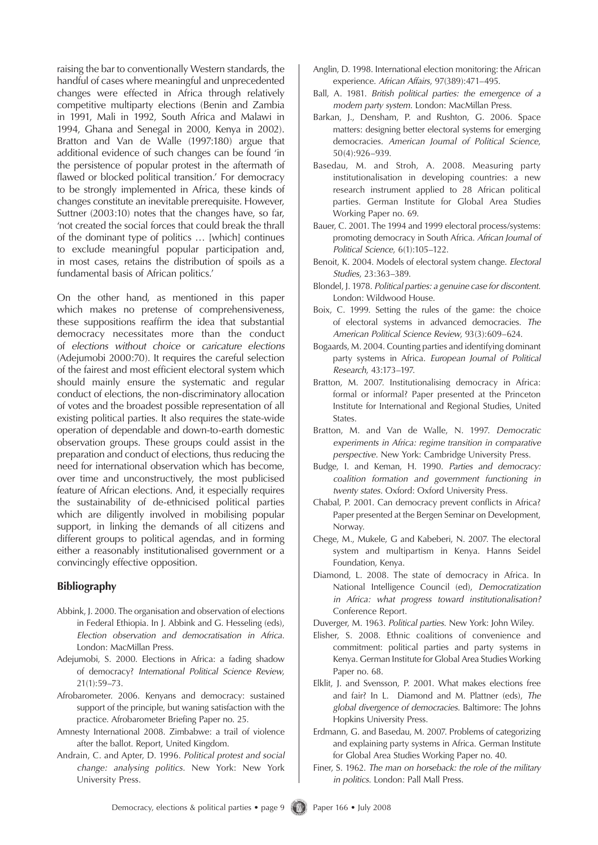raising the bar to conventionally Western standards, the handful of cases where meaningful and unprecedented changes were effected in Africa through relatively competitive multiparty elections (Benin and Zambia in 1991, Mali in 1992, South Africa and Malawi in 1994, Ghana and Senegal in 2000, Kenya in 2002). Bratton and Van de Walle (1997:180) argue that additional evidence of such changes can be found 'in the persistence of popular protest in the aftermath of flawed or blocked political transition.' For democracy to be strongly implemented in Africa, these kinds of changes constitute an inevitable prerequisite. However, Suttner (2003:10) notes that the changes have, so far, 'not created the social forces that could break the thrall of the dominant type of politics … [which] continues to exclude meaningful popular participation and, in most cases, retains the distribution of spoils as a fundamental basis of African politics.'

On the other hand, as mentioned in this paper which makes no pretense of comprehensiveness, these suppositions reaffirm the idea that substantial democracy necessitates more than the conduct of *elections without choice* or *caricature elections* (Adejumobi 2000:70). It requires the careful selection of the fairest and most efficient electoral system which should mainly ensure the systematic and regular conduct of elections, the non-discriminatory allocation of votes and the broadest possible representation of all existing political parties. It also requires the state-wide operation of dependable and down-to-earth domestic observation groups. These groups could assist in the preparation and conduct of elections, thus reducing the need for international observation which has become, over time and unconstructively, the most publicised feature of African elections. And, it especially requires the sustainability of de-ethnicised political parties which are diligently involved in mobilising popular support, in linking the demands of all citizens and different groups to political agendas, and in forming either a reasonably institutionalised government or a convincingly effective opposition.

#### **Bibliography**

- Abbink, J. 2000. The organisation and observation of elections in Federal Ethiopia. In J. Abbink and G. Hesseling (eds), *Election observation and democratisation in Africa*. London: MacMillan Press.
- Adejumobi, S. 2000. Elections in Africa: a fading shadow of democracy? *International Political Science Review*, 21(1):59–73.
- Afrobarometer. 2006. Kenyans and democracy: sustained support of the principle, but waning satisfaction with the practice. Afrobarometer Briefing Paper no. 25.
- Amnesty International 2008. Zimbabwe: a trail of violence after the ballot. Report, United Kingdom.
- Andrain, C. and Apter, D. 1996. *Political protest and social change: analysing politics*. New York: New York University Press.
- Anglin, D. 1998. International election monitoring: the African experience. *African Affairs*, 97(389):471–495.
- Ball, A. 1981. *British political parties: the emergence of a modern party system*. London: MacMillan Press.
- Barkan, J., Densham, P. and Rushton, G. 2006. Space matters: designing better electoral systems for emerging democracies. *American Journal of Political Science*, 50(4):926–939.
- Basedau, M. and Stroh, A. 2008. Measuring party institutionalisation in developing countries: a new research instrument applied to 28 African political parties. German Institute for Global Area Studies Working Paper no. 69.
- Bauer, C. 2001. The 1994 and 1999 electoral process/systems: promoting democracy in South Africa. *African Journal of Political Science*, 6(1):105–122.
- Benoit, K. 2004. Models of electoral system change. *Electoral Studies*, 23:363–389.
- Blondel, J. 1978. *Political parties: a genuine case for discontent*. London: Wildwood House.
- Boix, C. 1999. Setting the rules of the game: the choice of electoral systems in advanced democracies. *The American Political Science Review*, 93(3):609–624.
- Bogaards, M. 2004. Counting parties and identifying dominant party systems in Africa. *European Journal of Political Research*, 43:173–197.
- Bratton, M. 2007. Institutionalising democracy in Africa: formal or informal? Paper presented at the Princeton Institute for International and Regional Studies, United States.
- Bratton, M. and Van de Walle, N. 1997. *Democratic experiments in Africa: regime transition in comparative perspective*. New York: Cambridge University Press.
- Budge, I. and Keman, H. 1990. *Parties and democracy: coalition formation and government functioning in twenty states*. Oxford: Oxford University Press.
- Chabal, P. 2001. Can democracy prevent conflicts in Africa? Paper presented at the Bergen Seminar on Development, Norway.
- Chege, M., Mukele, G and Kabeberi, N. 2007. The electoral system and multipartism in Kenya. Hanns Seidel Foundation, Kenya.
- Diamond, L. 2008. The state of democracy in Africa. In National Intelligence Council (ed), *Democratization in Africa: what progress toward institutionalisation?*  Conference Report.

Duverger, M. 1963. *Political parties*. New York: John Wiley.

- Elisher, S. 2008. Ethnic coalitions of convenience and commitment: political parties and party systems in Kenya. German Institute for Global Area Studies Working Paper no. 68.
- Elklit, J. and Svensson, P. 2001. What makes elections free and fair? In L. Diamond and M. Plattner (eds), *The global divergence of democracies*. Baltimore: The Johns Hopkins University Press.
- Erdmann, G. and Basedau, M. 2007. Problems of categorizing and explaining party systems in Africa. German Institute for Global Area Studies Working Paper no. 40.
- Finer, S. 1962. *The man on horseback: the role of the military in politics*. London: Pall Mall Press.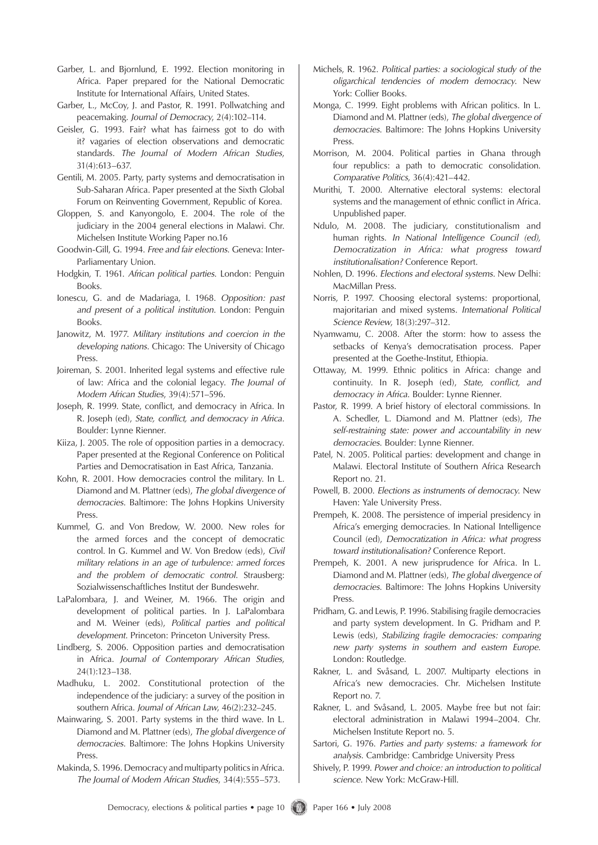- Garber, L. and Bjornlund, E. 1992. Election monitoring in Africa. Paper prepared for the National Democratic Institute for International Affairs, United States.
- Garber, L., McCoy, J. and Pastor, R. 1991. Pollwatching and peacemaking. *Journal of Democracy*, 2(4):102–114.
- Geisler, G. 1993. Fair? what has fairness got to do with it? vagaries of election observations and democratic standards. *The Journal of Modern African Studies*, 31(4):613–637.
- Gentili, M. 2005. Party, party systems and democratisation in Sub-Saharan Africa. Paper presented at the Sixth Global Forum on Reinventing Government, Republic of Korea.
- Gloppen, S. and Kanyongolo, E. 2004. The role of the judiciary in the 2004 general elections in Malawi. Chr. Michelsen Institute Working Paper no.16
- Goodwin-Gill, G. 1994. *Free and fair elections*. Geneva: Inter-Parliamentary Union.
- Hodgkin, T. 1961. *African political parties*. London: Penguin Books.
- Ionescu, G. and de Madariaga, I. 1968. *Opposition: past and present of a political institution*. London: Penguin Books.
- Janowitz, M. 1977. *Military institutions and coercion in the developing nations*. Chicago: The University of Chicago Press.
- Joireman, S. 2001. Inherited legal systems and effective rule of law: Africa and the colonial legacy. *The Journal of Modern African Studies*, 39(4):571–596.
- Joseph, R. 1999. State, conflict, and democracy in Africa. In R. Joseph (ed), *State, conflict, and democracy in Africa*. Boulder: Lynne Rienner.
- Kiiza, J. 2005. The role of opposition parties in a democracy. Paper presented at the Regional Conference on Political Parties and Democratisation in East Africa, Tanzania.
- Kohn, R. 2001. How democracies control the military. In L. Diamond and M. Plattner (eds), *The global divergence of democracies*. Baltimore: The Johns Hopkins University Press.
- Kummel, G. and Von Bredow, W. 2000. New roles for the armed forces and the concept of democratic control. In G. Kummel and W. Von Bredow (eds), *Civil military relations in an age of turbulence: armed forces and the problem of democratic control*. Strausberg: Sozialwissenschaftliches Institut der Bundeswehr.
- LaPalombara, J. and Weiner, M. 1966. The origin and development of political parties. In J. LaPalombara and M. Weiner (eds), *Political parties and political development*. Princeton: Princeton University Press.
- Lindberg, S. 2006. Opposition parties and democratisation in Africa. *Journal of Contemporary African Studies*, 24(1):123–138.
- Madhuku, L. 2002. Constitutional protection of the independence of the judiciary: a survey of the position in southern Africa. *Journal of African Law*, 46(2):232–245.
- Mainwaring, S. 2001. Party systems in the third wave. In L. Diamond and M. Plattner (eds), *The global divergence of democracies*. Baltimore: The Johns Hopkins University Press.
- Makinda, S. 1996. Democracy and multiparty politics in Africa. *The Journal of Modern African Studies*, 34(4):555–573.
- Michels, R. 1962. *Political parties: a sociological study of the oligarchical tendencies of modern democracy*. New York: Collier Books.
- Monga, C. 1999. Eight problems with African politics. In L. Diamond and M. Plattner (eds), *The global divergence of democracies*. Baltimore: The Johns Hopkins University Press.
- Morrison, M. 2004. Political parties in Ghana through four republics: a path to democratic consolidation. *Comparative Politics*, 36(4):421–442.
- Murithi, T. 2000. Alternative electoral systems: electoral systems and the management of ethnic conflict in Africa. Unpublished paper.
- Ndulo, M. 2008. The judiciary, constitutionalism and human rights. *In National Intelligence Council (ed), Democratization in Africa: what progress toward institutionalisation?* Conference Report.
- Nohlen, D. 1996. *Elections and electoral systems*. New Delhi: MacMillan Press.
- Norris, P. 1997. Choosing electoral systems: proportional, majoritarian and mixed systems. *International Political Science Review*, 18(3):297–312.
- Nyamwamu, C. 2008. After the storm: how to assess the setbacks of Kenya's democratisation process. Paper presented at the Goethe-Institut, Ethiopia.
- Ottaway, M. 1999. Ethnic politics in Africa: change and continuity. In R. Joseph (ed), *State, conflict, and democracy in Africa*. Boulder: Lynne Rienner.
- Pastor, R. 1999. A brief history of electoral commissions. In A. Schedler, L. Diamond and M. Plattner (eds), *The self-restraining state: power and accountability in new democracies*. Boulder: Lynne Rienner.
- Patel, N. 2005. Political parties: development and change in Malawi. Electoral Institute of Southern Africa Research Report no. 21.
- Powell, B. 2000. *Elections as instruments of democracy*. New Haven: Yale University Press.
- Prempeh, K. 2008. The persistence of imperial presidency in Africa's emerging democracies. In National Intelligence Council (ed), *Democratization in Africa: what progress toward institutionalisation?* Conference Report.
- Prempeh, K. 2001. A new jurisprudence for Africa. In L. Diamond and M. Plattner (eds), *The global divergence of democracies*. Baltimore: The Johns Hopkins University Press.
- Pridham, G. and Lewis, P. 1996. Stabilising fragile democracies and party system development. In G. Pridham and P. Lewis (eds), *Stabilizing fragile democracies: comparing new party systems in southern and eastern Europe*. London: Routledge.
- Rakner, L. and Svåsand, L. 2007. Multiparty elections in Africa's new democracies. Chr. Michelsen Institute Report no. 7.
- Rakner, L. and Svåsand, L. 2005. Maybe free but not fair: electoral administration in Malawi 1994–2004. Chr. Michelsen Institute Report no. 5.
- Sartori, G. 1976. *Parties and party systems: a framework for analysis*. Cambridge: Cambridge University Press
- Shively, P. 1999. *Power and choice: an introduction to political science*. New York: McGraw-Hill.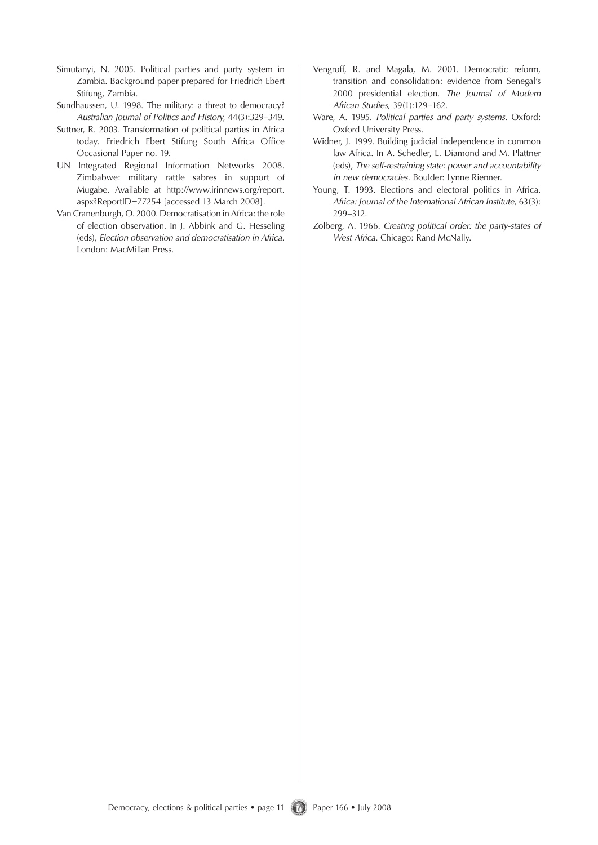- Simutanyi, N. 2005. Political parties and party system in Zambia. Background paper prepared for Friedrich Ebert Stifung, Zambia.
- Sundhaussen, U. 1998. The military: a threat to democracy? *Australian Journal of Politics and History*, 44(3):329–349.
- Suttner, R. 2003. Transformation of political parties in Africa today. Friedrich Ebert Stifung South Africa Office Occasional Paper no. 19.
- UN Integrated Regional Information Networks 2008. Zimbabwe: military rattle sabres in support of Mugabe. Available at http://www.irinnews.org/report. aspx?ReportID=77254 [accessed 13 March 2008].
- Van Cranenburgh, O. 2000. Democratisation in Africa: the role of election observation. In J. Abbink and G. Hesseling (eds), *Election observation and democratisation in Africa*. London: MacMillan Press.
- Vengroff, R. and Magala, M. 2001. Democratic reform, transition and consolidation: evidence from Senegal's 2000 presidential election. *The Journal of Modern African Studies*, 39(1):129–162.
- Ware, A. 1995. *Political parties and party systems*. Oxford: Oxford University Press.
- Widner, J. 1999. Building judicial independence in common law Africa. In A. Schedler, L. Diamond and M. Plattner (eds), *The self-restraining state: power and accountability in new democracies*. Boulder: Lynne Rienner.
- Young, T. 1993. Elections and electoral politics in Africa. *Africa: Journal of the International African Institute*, 63(3): 299–312.
- Zolberg, A. 1966. *Creating political order: the party-states of West Africa*. Chicago: Rand McNally.